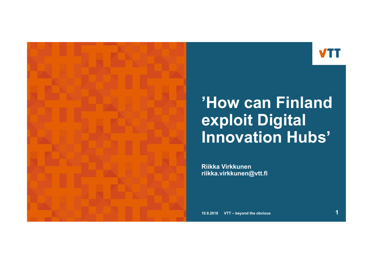

### **'How can Finland exploit Digital Innovation Hubs'**

**Riikka Virkkunenriikka.virkkunen@vtt.fi**

**10.9.2018 VTT – beyond the obvious 1**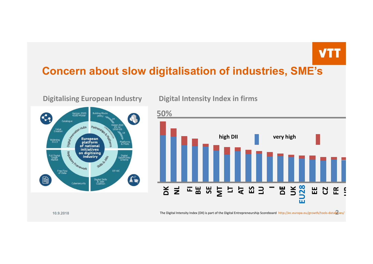#### **Concern about slow digitalisation of industries, SME's**



**Digitalising European Industry Digital Intensity Index in firms**



**10.9.2018**

**2** The Digital Intensity Index (DII) is part of the Digital Entrepreneurship Scoreboard http://ec.europa.eu/growth/tools‐databases/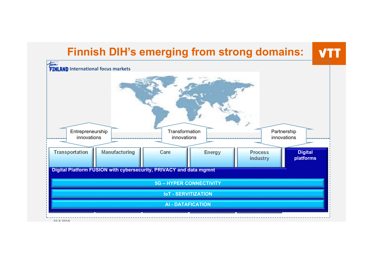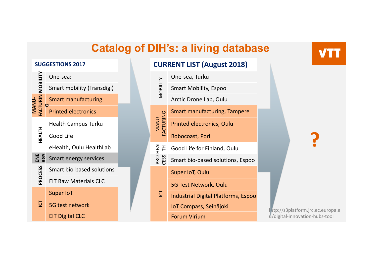#### **Catalog of DIH's: a living database**

**CURRENT LIST (August 2018)**





http://s3platform.jrc.ec.europa.e u/digital‐innovation‐hubs‐tool

**?**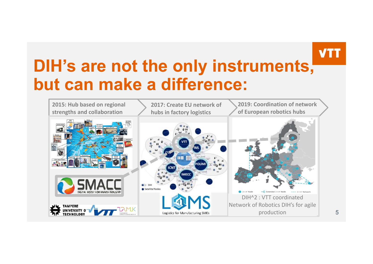# **DIH's are not the only instruments, but can make a difference:**



**5**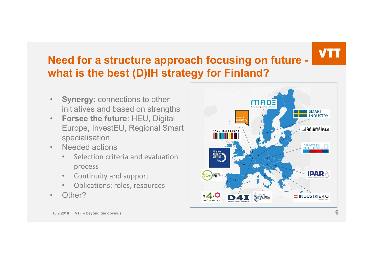#### **Need for a structure approach focusing on future what is the best (D)IH strategy for Finland?**

- • **Synergy**: connections to other initiatives and based on strengths
- • **Forsee the future**: HEU, Digital Europe, InvestEU, Regional Smart specialisation..
- • Needed actions
	- • Selection criteria and evaluation process
	- $\bullet$ Continuity and support
	- •Oblications: roles, resources
- •Other?



**10.9.2018 VTT – beyond the obvious 6**